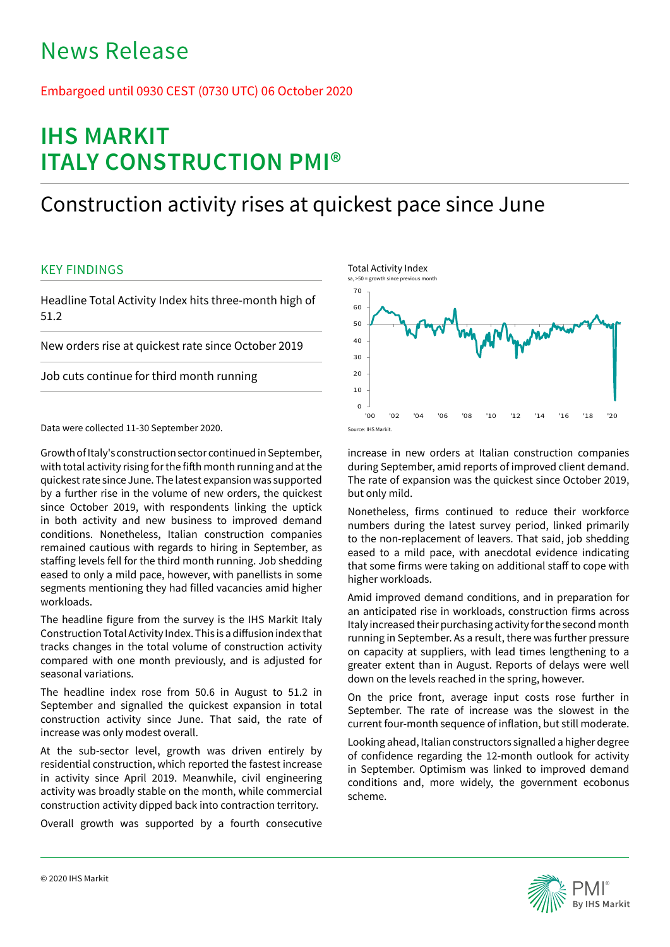# News Release

## Embargoed until 0930 CEST (0730 UTC) 06 October 2020

# **IHS MARKIT ITALY CONSTRUCTION PMI®**

## Construction activity rises at quickest pace since June

## KEY FINDINGS

Headline Total Activity Index hits three-month high of 51.2

New orders rise at quickest rate since October 2019

Job cuts continue for third month running

Data were collected 11-30 September 2020.

Growth of Italy's construction sector continued in September, with total activity rising for the fifth month running and at the quickest rate since June. The latest expansion was supported by a further rise in the volume of new orders, the quickest since October 2019, with respondents linking the uptick in both activity and new business to improved demand conditions. Nonetheless, Italian construction companies remained cautious with regards to hiring in September, as staffing levels fell for the third month running. Job shedding eased to only a mild pace, however, with panellists in some segments mentioning they had filled vacancies amid higher workloads.

The headline figure from the survey is the IHS Markit Italy Construction Total Activity Index. This is a diffusion index that tracks changes in the total volume of construction activity compared with one month previously, and is adjusted for seasonal variations.

The headline index rose from 50.6 in August to 51.2 in September and signalled the quickest expansion in total construction activity since June. That said, the rate of increase was only modest overall.

At the sub-sector level, growth was driven entirely by residential construction, which reported the fastest increase in activity since April 2019. Meanwhile, civil engineering activity was broadly stable on the month, while commercial construction activity dipped back into contraction territory.

Overall growth was supported by a fourth consecutive



increase in new orders at Italian construction companies during September, amid reports of improved client demand. The rate of expansion was the quickest since October 2019, but only mild.

Nonetheless, firms continued to reduce their workforce numbers during the latest survey period, linked primarily to the non-replacement of leavers. That said, job shedding eased to a mild pace, with anecdotal evidence indicating that some firms were taking on additional staff to cope with higher workloads.

Amid improved demand conditions, and in preparation for an anticipated rise in workloads, construction firms across Italy increased their purchasing activity for the second month running in September. As a result, there was further pressure on capacity at suppliers, with lead times lengthening to a greater extent than in August. Reports of delays were well down on the levels reached in the spring, however.

On the price front, average input costs rose further in September. The rate of increase was the slowest in the current four-month sequence of inflation, but still moderate.

Looking ahead, Italian constructors signalled a higher degree of confidence regarding the 12-month outlook for activity in September. Optimism was linked to improved demand conditions and, more widely, the government ecobonus scheme.